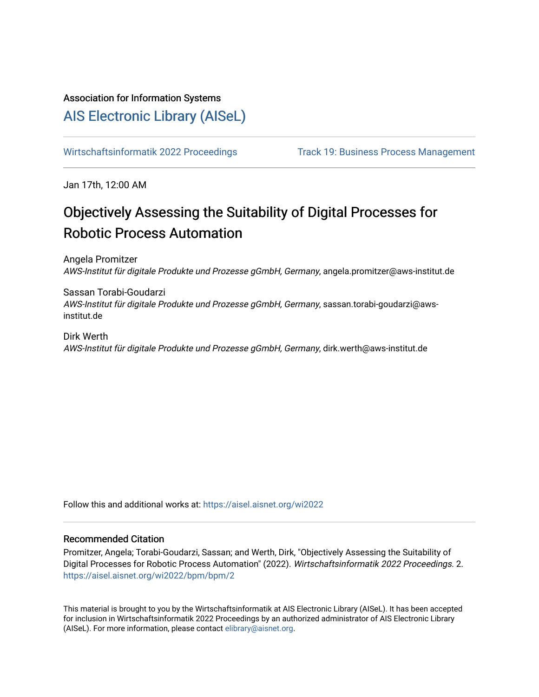# Association for Information Systems

# [AIS Electronic Library \(AISeL\)](https://aisel.aisnet.org/)

[Wirtschaftsinformatik 2022 Proceedings](https://aisel.aisnet.org/wi2022) Track 19: Business Process Management

Jan 17th, 12:00 AM

# Objectively Assessing the Suitability of Digital Processes for Robotic Process Automation

Angela Promitzer AWS-Institut für digitale Produkte und Prozesse gGmbH, Germany, angela.promitzer@aws-institut.de

Sassan Torabi-Goudarzi AWS-Institut für digitale Produkte und Prozesse gGmbH, Germany, sassan.torabi-goudarzi@awsinstitut.de

Dirk Werth AWS-Institut für digitale Produkte und Prozesse gGmbH, Germany, dirk.werth@aws-institut.de

Follow this and additional works at: [https://aisel.aisnet.org/wi2022](https://aisel.aisnet.org/wi2022?utm_source=aisel.aisnet.org%2Fwi2022%2Fbpm%2Fbpm%2F2&utm_medium=PDF&utm_campaign=PDFCoverPages) 

## Recommended Citation

Promitzer, Angela; Torabi-Goudarzi, Sassan; and Werth, Dirk, "Objectively Assessing the Suitability of Digital Processes for Robotic Process Automation" (2022). Wirtschaftsinformatik 2022 Proceedings. 2. [https://aisel.aisnet.org/wi2022/bpm/bpm/2](https://aisel.aisnet.org/wi2022/bpm/bpm/2?utm_source=aisel.aisnet.org%2Fwi2022%2Fbpm%2Fbpm%2F2&utm_medium=PDF&utm_campaign=PDFCoverPages) 

This material is brought to you by the Wirtschaftsinformatik at AIS Electronic Library (AISeL). It has been accepted for inclusion in Wirtschaftsinformatik 2022 Proceedings by an authorized administrator of AIS Electronic Library (AISeL). For more information, please contact [elibrary@aisnet.org](mailto:elibrary@aisnet.org%3E).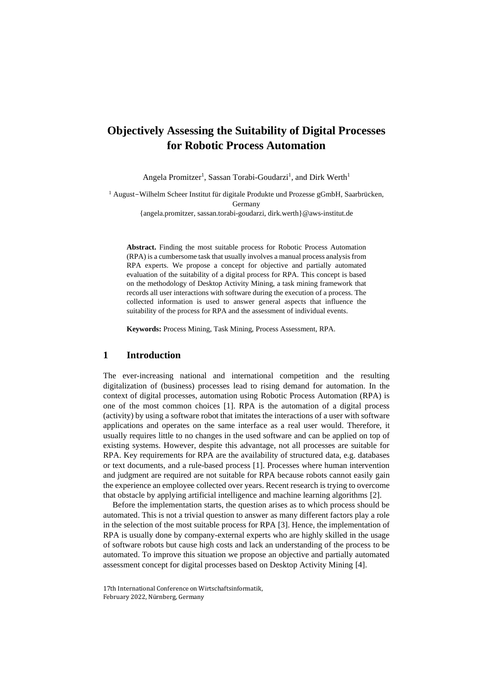# **Objectively Assessing the Suitability of Digital Processes for Robotic Process Automation**

Angela Promitzer<sup>1</sup>, Sassan Torabi-Goudarzi<sup>1</sup>, and Dirk Werth<sup>1</sup>

<sup>1</sup> August-Wilhelm Scheer Institut für digitale Produkte und Prozesse gGmbH, Saarbrücken, Germany {angela.promitzer, sassan.torabi-goudarzi, dirk.werth}@aws-institut.de

**Abstract.** Finding the most suitable process for Robotic Process Automation (RPA) is a cumbersome task that usually involves a manual process analysis from RPA experts. We propose a concept for objective and partially automated evaluation of the suitability of a digital process for RPA. This concept is based on the methodology of Desktop Activity Mining, a task mining framework that records all user interactions with software during the execution of a process. The collected information is used to answer general aspects that influence the suitability of the process for RPA and the assessment of individual events.

**Keywords:** Process Mining, Task Mining, Process Assessment, RPA.

## **1 Introduction**

The ever-increasing national and international competition and the resulting digitalization of (business) processes lead to rising demand for automation. In the context of digital processes, automation using Robotic Process Automation (RPA) is one of the most common choices [1]. RPA is the automation of a digital process (activity) by using a software robot that imitates the interactions of a user with software applications and operates on the same interface as a real user would. Therefore, it usually requires little to no changes in the used software and can be applied on top of existing systems. However, despite this advantage, not all processes are suitable for RPA. Key requirements for RPA are the availability of structured data, e.g. databases or text documents, and a rule-based process [1]. Processes where human intervention and judgment are required are not suitable for RPA because robots cannot easily gain the experience an employee collected over years. Recent research is trying to overcome that obstacle by applying artificial intelligence and machine learning algorithms [2].

Before the implementation starts, the question arises as to which process should be automated. This is not a trivial question to answer as many different factors play a role in the selection of the most suitable process for RPA [3]. Hence, the implementation of RPA is usually done by company-external experts who are highly skilled in the usage of software robots but cause high costs and lack an understanding of the process to be automated. To improve this situation we propose an objective and partially automated assessment concept for digital processes based on Desktop Activity Mining [4].

<sup>17</sup>th International Conference on Wirtschaftsinformatik, February 2022, Nürnberg, Germany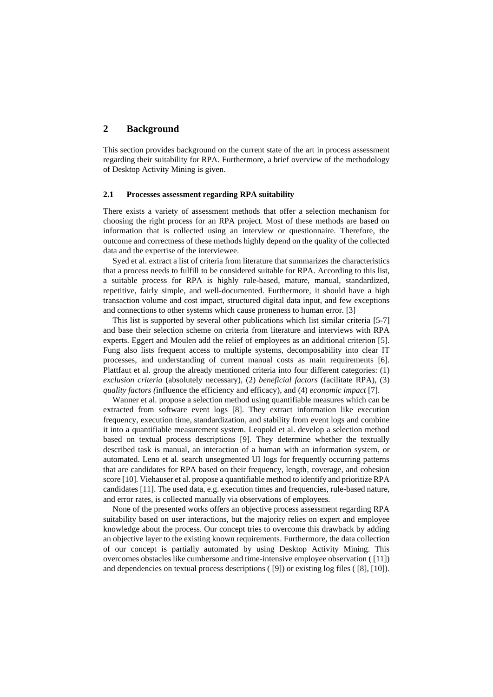# **2 Background**

This section provides background on the current state of the art in process assessment regarding their suitability for RPA. Furthermore, a brief overview of the methodology of Desktop Activity Mining is given.

#### **2.1 Processes assessment regarding RPA suitability**

There exists a variety of assessment methods that offer a selection mechanism for choosing the right process for an RPA project. Most of these methods are based on information that is collected using an interview or questionnaire. Therefore, the outcome and correctness of these methods highly depend on the quality of the collected data and the expertise of the interviewee.

Syed et al. extract a list of criteria from literature that summarizes the characteristics that a process needs to fulfill to be considered suitable for RPA. According to this list, a suitable process for RPA is highly rule-based, mature, manual, standardized, repetitive, fairly simple, and well-documented. Furthermore, it should have a high transaction volume and cost impact, structured digital data input, and few exceptions and connections to other systems which cause proneness to human error. [3]

This list is supported by several other publications which list similar criteria [5-7] and base their selection scheme on criteria from literature and interviews with RPA experts. Eggert and Moulen add the relief of employees as an additional criterion [5]. Fung also lists frequent access to multiple systems, decomposability into clear IT processes, and understanding of current manual costs as main requirements [6]. Plattfaut et al. group the already mentioned criteria into four different categories: (1) *exclusion criteria* (absolutely necessary), (2) *beneficial factors* (facilitate RPA), (3) *quality factors (*influence the efficiency and efficacy), and (4) *economic impact* [7].

Wanner et al. propose a selection method using quantifiable measures which can be extracted from software event logs [8]. They extract information like execution frequency, execution time, standardization, and stability from event logs and combine it into a quantifiable measurement system. Leopold et al. develop a selection method based on textual process descriptions [9]. They determine whether the textually described task is manual, an interaction of a human with an information system, or automated. Leno et al. search unsegmented UI logs for frequently occurring patterns that are candidates for RPA based on their frequency, length, coverage, and cohesion score [10]. Viehauser et al. propose a quantifiable method to identify and prioritize RPA candidates [11]. The used data, e.g. execution times and frequencies, rule-based nature, and error rates, is collected manually via observations of employees.

None of the presented works offers an objective process assessment regarding RPA suitability based on user interactions, but the majority relies on expert and employee knowledge about the process. Our concept tries to overcome this drawback by adding an objective layer to the existing known requirements. Furthermore, the data collection of our concept is partially automated by using Desktop Activity Mining. This overcomes obstacles like cumbersome and time-intensive employee observation ( [11]) and dependencies on textual process descriptions ( [9]) or existing log files ( [8], [10]).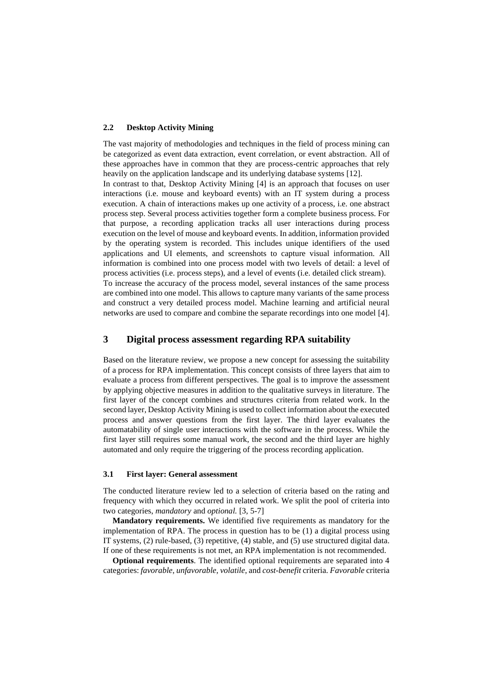#### **2.2 Desktop Activity Mining**

The vast majority of methodologies and techniques in the field of process mining can be categorized as event data extraction, event correlation, or event abstraction. All of these approaches have in common that they are process-centric approaches that rely heavily on the application landscape and its underlying database systems [12].

In contrast to that, Desktop Activity Mining [4] is an approach that focuses on user interactions (i.e. mouse and keyboard events) with an IT system during a process execution. A chain of interactions makes up one activity of a process, i.e. one abstract process step. Several process activities together form a complete business process. For that purpose, a recording application tracks all user interactions during process execution on the level of mouse and keyboard events. In addition, information provided by the operating system is recorded. This includes unique identifiers of the used applications and UI elements, and screenshots to capture visual information. All information is combined into one process model with two levels of detail: a level of process activities (i.e. process steps), and a level of events (i.e. detailed click stream). To increase the accuracy of the process model, several instances of the same process are combined into one model. This allows to capture many variants of the same process and construct a very detailed process model. Machine learning and artificial neural networks are used to compare and combine the separate recordings into one model [4].

# **3 Digital process assessment regarding RPA suitability**

Based on the literature review, we propose a new concept for assessing the suitability of a process for RPA implementation. This concept consists of three layers that aim to evaluate a process from different perspectives. The goal is to improve the assessment by applying objective measures in addition to the qualitative surveys in literature. The first layer of the concept combines and structures criteria from related work. In the second layer, Desktop Activity Mining is used to collect information about the executed process and answer questions from the first layer. The third layer evaluates the automatability of single user interactions with the software in the process. While the first layer still requires some manual work, the second and the third layer are highly automated and only require the triggering of the process recording application.

#### **3.1 First layer: General assessment**

The conducted literature review led to a selection of criteria based on the rating and frequency with which they occurred in related work. We split the pool of criteria into two categories, *mandatory* and *optional.* [3, 5-7]

**Mandatory requirements.** We identified five requirements as mandatory for the implementation of RPA. The process in question has to be (1) a digital process using IT systems, (2) rule-based, (3) repetitive, (4) stable, and (5) use structured digital data. If one of these requirements is not met, an RPA implementation is not recommended.

**Optional requirements**. The identified optional requirements are separated into 4 categories: *favorable*, *unfavorable*, *volatile*, and *cost-benefit* criteria. *Favorable* criteria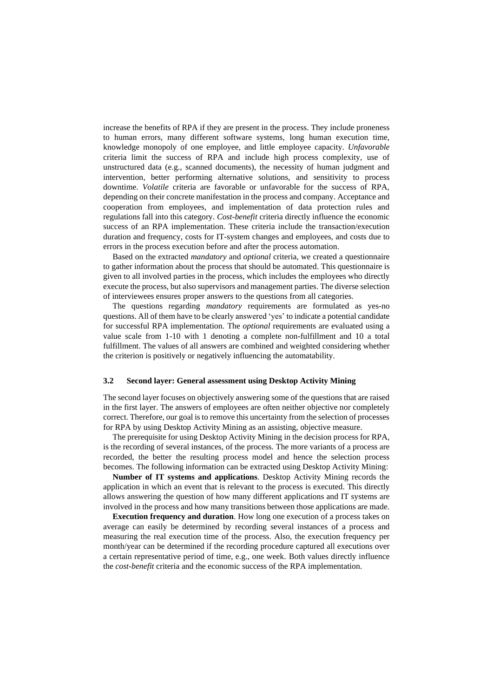increase the benefits of RPA if they are present in the process. They include proneness to human errors, many different software systems, long human execution time, knowledge monopoly of one employee, and little employee capacity. *Unfavorable*  criteria limit the success of RPA and include high process complexity, use of unstructured data (e.g., scanned documents), the necessity of human judgment and intervention, better performing alternative solutions, and sensitivity to process downtime. *Volatile* criteria are favorable or unfavorable for the success of RPA, depending on their concrete manifestation in the process and company. Acceptance and cooperation from employees, and implementation of data protection rules and regulations fall into this category. *Cost-benefit* criteria directly influence the economic success of an RPA implementation. These criteria include the transaction/execution duration and frequency, costs for IT-system changes and employees, and costs due to errors in the process execution before and after the process automation.

Based on the extracted *mandatory* and *optional* criteria, we created a questionnaire to gather information about the process that should be automated. This questionnaire is given to all involved parties in the process, which includes the employees who directly execute the process, but also supervisors and management parties. The diverse selection of interviewees ensures proper answers to the questions from all categories.

The questions regarding *mandatory* requirements are formulated as yes-no questions. All of them have to be clearly answered 'yes' to indicate a potential candidate for successful RPA implementation. The *optional* requirements are evaluated using a value scale from 1-10 with 1 denoting a complete non-fulfillment and 10 a total fulfillment. The values of all answers are combined and weighted considering whether the criterion is positively or negatively influencing the automatability.

#### **3.2 Second layer: General assessment using Desktop Activity Mining**

The second layer focuses on objectively answering some of the questions that are raised in the first layer. The answers of employees are often neither objective nor completely correct. Therefore, our goal is to remove this uncertainty from the selection of processes for RPA by using Desktop Activity Mining as an assisting, objective measure.

The prerequisite for using Desktop Activity Mining in the decision process for RPA, is the recording of several instances, of the process. The more variants of a process are recorded, the better the resulting process model and hence the selection process becomes. The following information can be extracted using Desktop Activity Mining:

**Number of IT systems and applications**. Desktop Activity Mining records the application in which an event that is relevant to the process is executed. This directly allows answering the question of how many different applications and IT systems are involved in the process and how many transitions between those applications are made.

**Execution frequency and duration**. How long one execution of a process takes on average can easily be determined by recording several instances of a process and measuring the real execution time of the process. Also, the execution frequency per month/year can be determined if the recording procedure captured all executions over a certain representative period of time, e.g., one week. Both values directly influence the *cost-benefit* criteria and the economic success of the RPA implementation.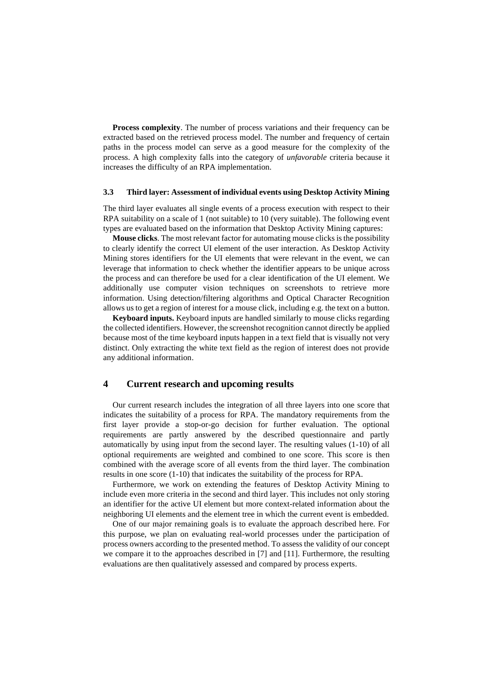**Process complexity**. The number of process variations and their frequency can be extracted based on the retrieved process model. The number and frequency of certain paths in the process model can serve as a good measure for the complexity of the process. A high complexity falls into the category of *unfavorable* criteria because it increases the difficulty of an RPA implementation.

#### **3.3 Third layer: Assessment of individual events using Desktop Activity Mining**

The third layer evaluates all single events of a process execution with respect to their RPA suitability on a scale of 1 (not suitable) to 10 (very suitable). The following event types are evaluated based on the information that Desktop Activity Mining captures:

**Mouse clicks**. The most relevant factor for automating mouse clicks is the possibility to clearly identify the correct UI element of the user interaction. As Desktop Activity Mining stores identifiers for the UI elements that were relevant in the event, we can leverage that information to check whether the identifier appears to be unique across the process and can therefore be used for a clear identification of the UI element. We additionally use computer vision techniques on screenshots to retrieve more information. Using detection/filtering algorithms and Optical Character Recognition allows us to get a region of interest for a mouse click, including e.g. the text on a button.

**Keyboard inputs.** Keyboard inputs are handled similarly to mouse clicks regarding the collected identifiers. However, the screenshot recognition cannot directly be applied because most of the time keyboard inputs happen in a text field that is visually not very distinct. Only extracting the white text field as the region of interest does not provide any additional information.

## **4 Current research and upcoming results**

Our current research includes the integration of all three layers into one score that indicates the suitability of a process for RPA. The mandatory requirements from the first layer provide a stop-or-go decision for further evaluation. The optional requirements are partly answered by the described questionnaire and partly automatically by using input from the second layer. The resulting values (1-10) of all optional requirements are weighted and combined to one score. This score is then combined with the average score of all events from the third layer. The combination results in one score (1-10) that indicates the suitability of the process for RPA.

Furthermore, we work on extending the features of Desktop Activity Mining to include even more criteria in the second and third layer. This includes not only storing an identifier for the active UI element but more context-related information about the neighboring UI elements and the element tree in which the current event is embedded.

One of our major remaining goals is to evaluate the approach described here. For this purpose, we plan on evaluating real-world processes under the participation of process owners according to the presented method. To assess the validity of our concept we compare it to the approaches described in [7] and [11]. Furthermore, the resulting evaluations are then qualitatively assessed and compared by process experts.